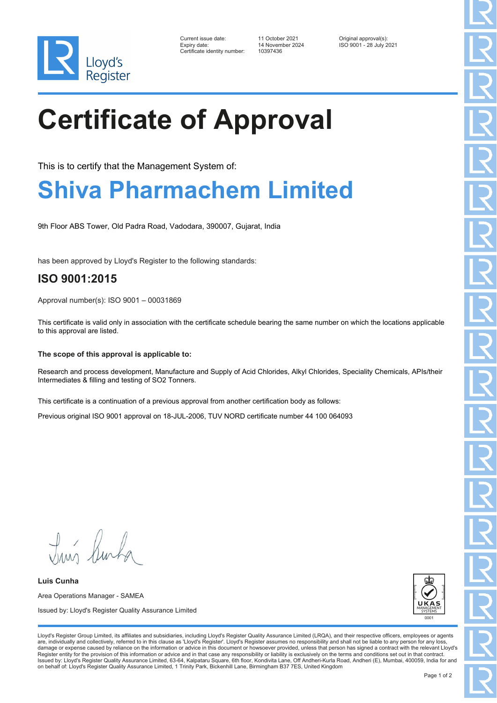

| Current issue date:          | 11 October 2021  | Original approval(s):   |
|------------------------------|------------------|-------------------------|
| Expiry date:                 | 14 November 2024 | ISO 9001 - 28 July 2021 |
| Certificate identity number: | 10397436         |                         |

# **Certificate of Approval**

This is to certify that the Management System of:

### **Shiva Pharmachem Limited**

9th Floor ABS Tower, Old Padra Road, Vadodara, 390007, Gujarat, India

has been approved by Lloyd's Register to the following standards:

### **ISO 9001:2015**

Approval number(s): ISO 9001 – 00031869

This certificate is valid only in association with the certificate schedule bearing the same number on which the locations applicable to this approval are listed.

#### **The scope of this approval is applicable to:**

Research and process development, Manufacture and Supply of Acid Chlorides, Alkyl Chlorides, Speciality Chemicals, APIs/their Intermediates & filling and testing of SO2 Tonners.

This certificate is a continuation of a previous approval from another certification body as follows:

Previous original ISO 9001 approval on 18-JUL-2006, TUV NORD certificate number 44 100 064093

Truis Burka

**Luis Cunha** Area Operations Manager - SAMEA Issued by: Lloyd's Register Quality Assurance Limited



Lloyd's Register Group Limited, its affiliates and subsidiaries, including Lloyd's Register Quality Assurance Limited (LRQA), and their respective officers, employees or agents are, individually and collectively, referred to in this clause as 'Lloyd's Register'. Lloyd's Register assumes no responsibility and shall not be liable to any person for any los damage or expense caused by reliance on the information or advice in this document or howsoever provided, unless that person has signed a contract with the relevant Lloyd's<br>Register entity for the provision of this informa Issued by: Lloyd's Register Quality Assurance Limited, 63-64, Kalpataru Square, 6th floor, Kondivita Lane, Off Andheri-Kurla Road, Andheri (E), Mumbai, 400059, India for and on behalf of: Lloyd's Register Quality Assurance Limited, 1 Trinity Park, Bickenhill Lane, Birmingham B37 7ES, United Kingdom